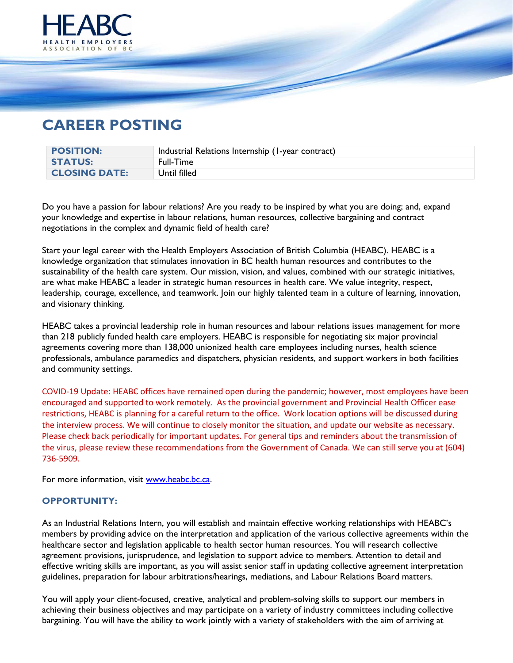

## **CAREER POSTING**

| <b>POSITION:</b>     | Industrial Relations Internship (1-year contract) |
|----------------------|---------------------------------------------------|
| <b>STATUS:</b>       | <b>Full-Time</b>                                  |
| <b>CLOSING DATE:</b> | Until filled                                      |

Do you have a passion for labour relations? Are you ready to be inspired by what you are doing; and, expand your knowledge and expertise in labour relations, human resources, collective bargaining and contract negotiations in the complex and dynamic field of health care?

Start your legal career with the Health Employers Association of British Columbia (HEABC). HEABC is a knowledge organization that stimulates innovation in BC health human resources and contributes to the sustainability of the health care system. Our mission, vision, and values, combined with our strategic initiatives, are what make HEABC a leader in strategic human resources in health care. We value integrity, respect, leadership, courage, excellence, and teamwork. Join our highly talented team in a culture of learning, innovation, and visionary thinking.

HEABC takes a provincial leadership role in human resources and labour relations issues management for more than 218 publicly funded health care employers. HEABC is responsible for negotiating six major provincial agreements covering more than 138,000 unionized health care employees including nurses, health science professionals, ambulance paramedics and dispatchers, physician residents, and support workers in both facilities and community settings.

COVID-19 Update: HEABC offices have remained open during the pandemic; however, most employees have been encouraged and supported to work remotely. As the provincial government and Provincial Health Officer ease restrictions, HEABC is planning for a careful return to the office. Work location options will be discussed during the interview process. We will continue to closely monitor the situation, and update our website as necessary. Please check back periodically for important updates. For general tips and reminders about the transmission of the virus, please review these [recommendations](https://www.canada.ca/en/public-health/services/diseases/coronavirus-disease-covid-19.html) from the Government of Canada. We can still serve you at (604) 736-5909.

For more information, visit [www.heabc.bc.ca.](http://www.heabc.bc.ca/)

## **OPPORTUNITY:**

As an Industrial Relations Intern, you will establish and maintain effective working relationships with HEABC's members by providing advice on the interpretation and application of the various collective agreements within the healthcare sector and legislation applicable to health sector human resources. You will research collective agreement provisions, jurisprudence, and legislation to support advice to members. Attention to detail and effective writing skills are important, as you will assist senior staff in updating collective agreement interpretation guidelines, preparation for labour arbitrations/hearings, mediations, and Labour Relations Board matters.

You will apply your client-focused, creative, analytical and problem-solving skills to support our members in achieving their business objectives and may participate on a variety of industry committees including collective bargaining. You will have the ability to work jointly with a variety of stakeholders with the aim of arriving at